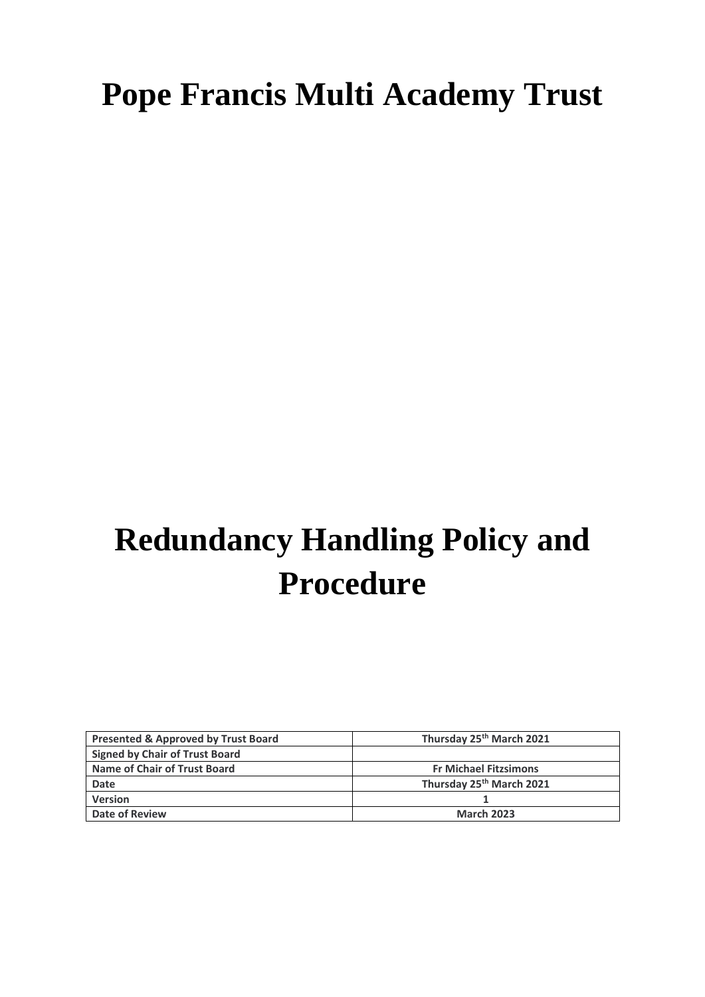## **Pope Francis Multi Academy Trust**

# **Redundancy Handling Policy and Procedure**

| <b>Presented &amp; Approved by Trust Board</b> | Thursday 25th March 2021             |
|------------------------------------------------|--------------------------------------|
| <b>Signed by Chair of Trust Board</b>          |                                      |
| Name of Chair of Trust Board                   | <b>Fr Michael Fitzsimons</b>         |
| <b>Date</b>                                    | Thursday 25 <sup>th</sup> March 2021 |
| <b>Version</b>                                 |                                      |
| Date of Review                                 | <b>March 2023</b>                    |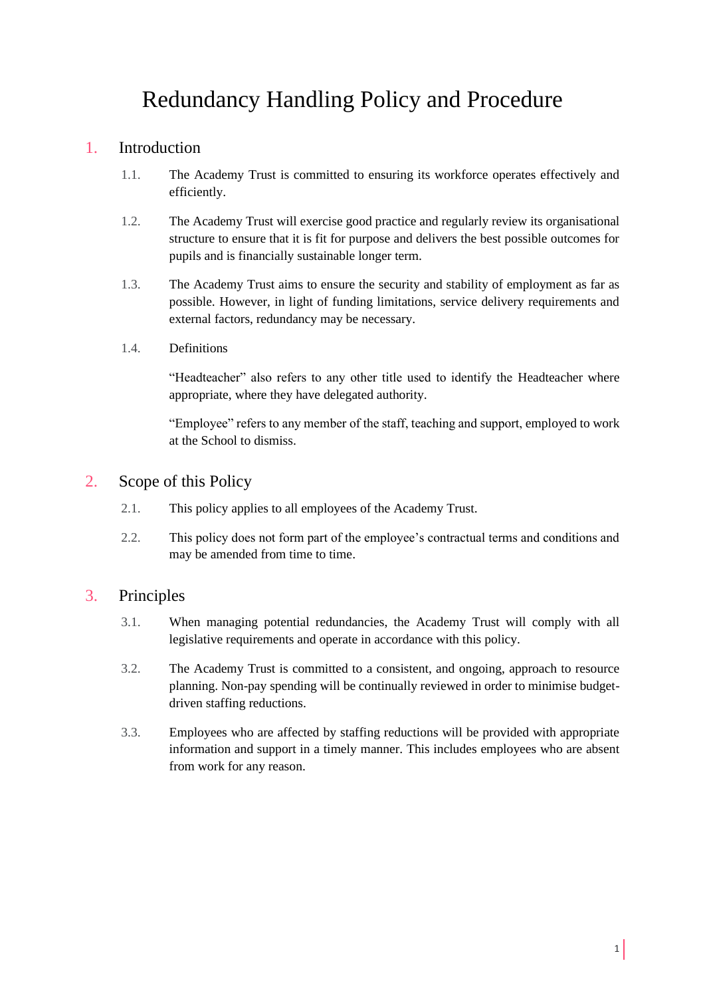### Redundancy Handling Policy and Procedure

#### 1. Introduction

- 1.1. The Academy Trust is committed to ensuring its workforce operates effectively and efficiently.
- 1.2. The Academy Trust will exercise good practice and regularly review its organisational structure to ensure that it is fit for purpose and delivers the best possible outcomes for pupils and is financially sustainable longer term.
- 1.3. The Academy Trust aims to ensure the security and stability of employment as far as possible. However, in light of funding limitations, service delivery requirements and external factors, redundancy may be necessary.
- 1.4. Definitions

"Headteacher" also refers to any other title used to identify the Headteacher where appropriate, where they have delegated authority.

"Employee" refers to any member of the staff, teaching and support, employed to work at the School to dismiss.

#### 2. Scope of this Policy

- 2.1. This policy applies to all employees of the Academy Trust.
- 2.2. This policy does not form part of the employee's contractual terms and conditions and may be amended from time to time.

#### 3. Principles

- 3.1. When managing potential redundancies, the Academy Trust will comply with all legislative requirements and operate in accordance with this policy.
- 3.2. The Academy Trust is committed to a consistent, and ongoing, approach to resource planning. Non-pay spending will be continually reviewed in order to minimise budgetdriven staffing reductions.
- 3.3. Employees who are affected by staffing reductions will be provided with appropriate information and support in a timely manner. This includes employees who are absent from work for any reason.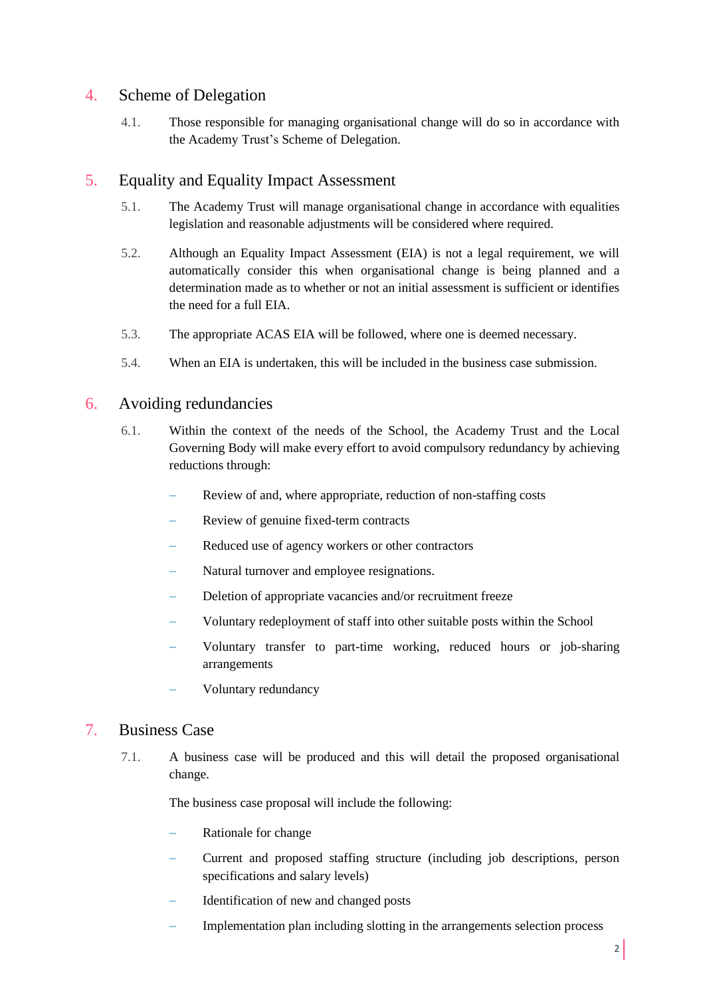#### 4. Scheme of Delegation

4.1. Those responsible for managing organisational change will do so in accordance with the Academy Trust's Scheme of Delegation.

#### 5. Equality and Equality Impact Assessment

- 5.1. The Academy Trust will manage organisational change in accordance with equalities legislation and reasonable adjustments will be considered where required.
- 5.2. Although an Equality Impact Assessment (EIA) is not a legal requirement, we will automatically consider this when organisational change is being planned and a determination made as to whether or not an initial assessment is sufficient or identifies the need for a full EIA.
- 5.3. The appropriate ACAS EIA will be followed, where one is deemed necessary.
- 5.4. When an EIA is undertaken, this will be included in the business case submission.

#### 6. Avoiding redundancies

- 6.1. Within the context of the needs of the School, the Academy Trust and the Local Governing Body will make every effort to avoid compulsory redundancy by achieving reductions through:
	- Review of and, where appropriate, reduction of non-staffing costs
	- Review of genuine fixed-term contracts
	- Reduced use of agency workers or other contractors
	- Natural turnover and employee resignations.
	- Deletion of appropriate vacancies and/or recruitment freeze
	- Voluntary redeployment of staff into other suitable posts within the School
	- Voluntary transfer to part-time working, reduced hours or job-sharing arrangements
	- − Voluntary redundancy

#### 7. Business Case

7.1. A business case will be produced and this will detail the proposed organisational change.

The business case proposal will include the following:

- Rationale for change
- − Current and proposed staffing structure (including job descriptions, person specifications and salary levels)
- − Identification of new and changed posts
- Implementation plan including slotting in the arrangements selection process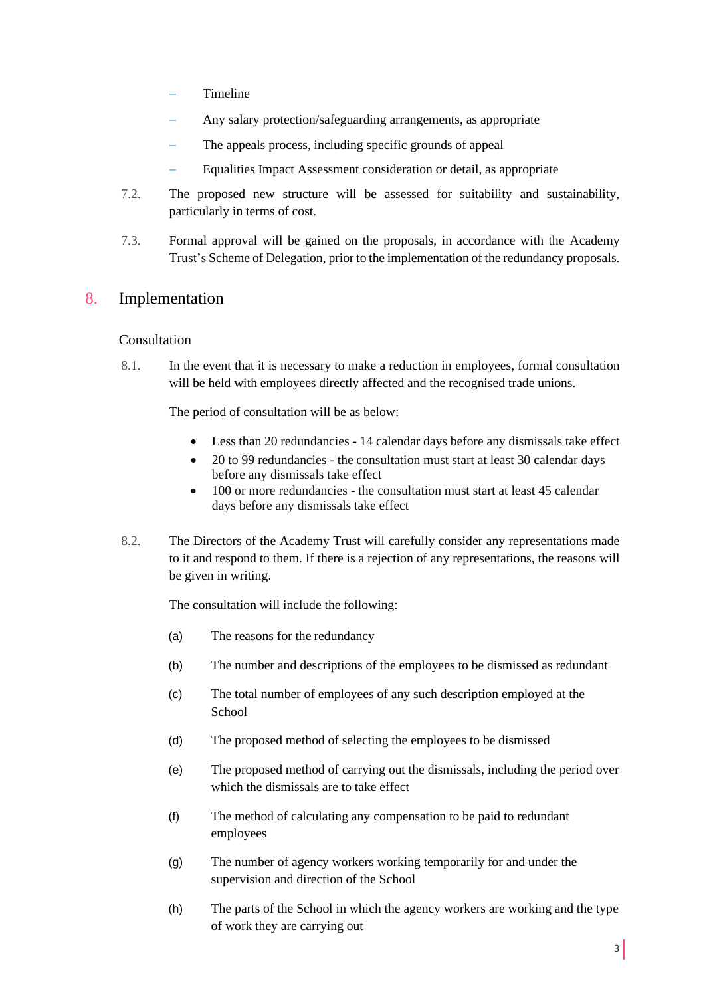- − Timeline
- Any salary protection/safeguarding arrangements, as appropriate
- The appeals process, including specific grounds of appeal
- − Equalities Impact Assessment consideration or detail, as appropriate
- 7.2. The proposed new structure will be assessed for suitability and sustainability, particularly in terms of cost.
- 7.3. Formal approval will be gained on the proposals, in accordance with the Academy Trust's Scheme of Delegation, prior to the implementation of the redundancy proposals.

#### 8. Implementation

#### Consultation

8.1. In the event that it is necessary to make a reduction in employees, formal consultation will be held with employees directly affected and the recognised trade unions.

The period of consultation will be as below:

- Less than 20 redundancies 14 calendar days before any dismissals take effect
- 20 to 99 redundancies the consultation must start at least 30 calendar days before any dismissals take effect
- 100 or more redundancies the consultation must start at least 45 calendar days before any dismissals take effect
- 8.2. The Directors of the Academy Trust will carefully consider any representations made to it and respond to them. If there is a rejection of any representations, the reasons will be given in writing.

The consultation will include the following:

- (a) The reasons for the redundancy
- (b) The number and descriptions of the employees to be dismissed as redundant
- (c) The total number of employees of any such description employed at the **School**
- (d) The proposed method of selecting the employees to be dismissed
- (e) The proposed method of carrying out the dismissals, including the period over which the dismissals are to take effect
- (f) The method of calculating any compensation to be paid to redundant employees
- (g) The number of agency workers working temporarily for and under the supervision and direction of the School
- (h) The parts of the School in which the agency workers are working and the type of work they are carrying out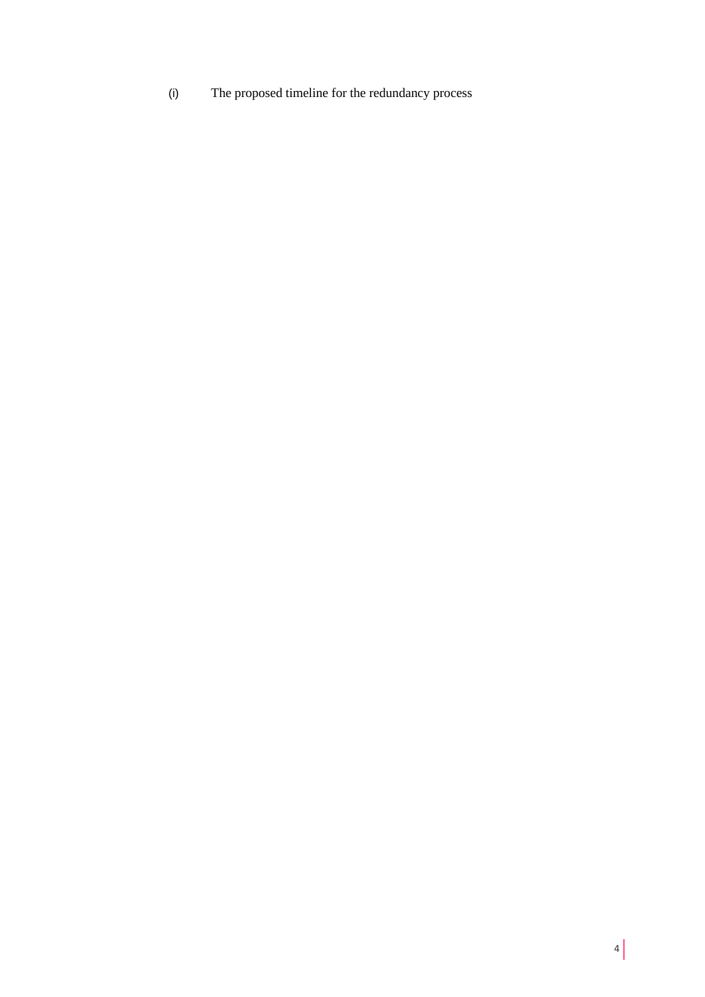(i) The proposed timeline for the redundancy process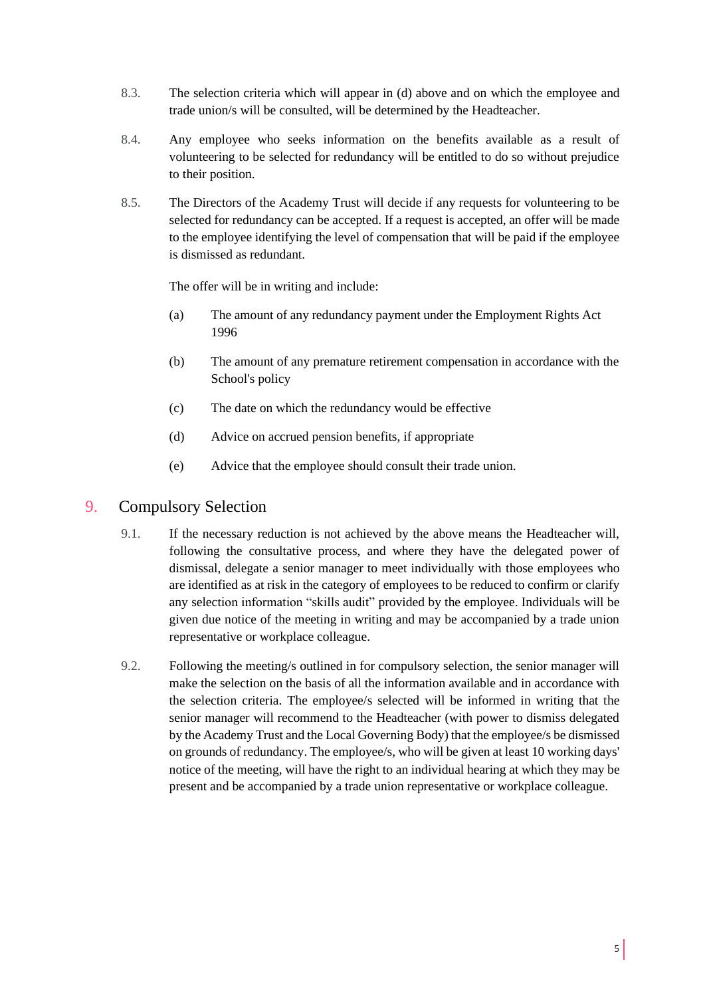- 8.3. The selection criteria which will appear in (d) above and on which the employee and trade union/s will be consulted, will be determined by the Headteacher.
- 8.4. Any employee who seeks information on the benefits available as a result of volunteering to be selected for redundancy will be entitled to do so without prejudice to their position.
- 8.5. The Directors of the Academy Trust will decide if any requests for volunteering to be selected for redundancy can be accepted. If a request is accepted, an offer will be made to the employee identifying the level of compensation that will be paid if the employee is dismissed as redundant.

The offer will be in writing and include:

- (a) The amount of any redundancy payment under the Employment Rights Act 1996
- (b) The amount of any premature retirement compensation in accordance with the School's policy
- (c) The date on which the redundancy would be effective
- (d) Advice on accrued pension benefits, if appropriate
- (e) Advice that the employee should consult their trade union.

#### 9. Compulsory Selection

- 9.1. If the necessary reduction is not achieved by the above means the Headteacher will, following the consultative process, and where they have the delegated power of dismissal, delegate a senior manager to meet individually with those employees who are identified as at risk in the category of employees to be reduced to confirm or clarify any selection information "skills audit" provided by the employee. Individuals will be given due notice of the meeting in writing and may be accompanied by a trade union representative or workplace colleague.
- 9.2. Following the meeting/s outlined in for compulsory selection, the senior manager will make the selection on the basis of all the information available and in accordance with the selection criteria. The employee/s selected will be informed in writing that the senior manager will recommend to the Headteacher (with power to dismiss delegated by the Academy Trust and the Local Governing Body) that the employee/s be dismissed on grounds of redundancy. The employee/s, who will be given at least 10 working days' notice of the meeting, will have the right to an individual hearing at which they may be present and be accompanied by a trade union representative or workplace colleague.